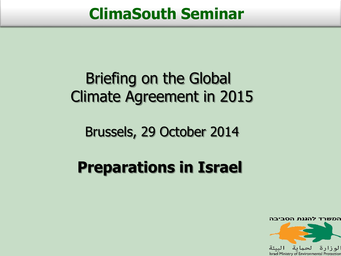#### **ClimaSouth Seminar**

## Briefing on the Global Climate Agreement in 2015

Brussels, 29 October 2014

# **Preparations in Israel**

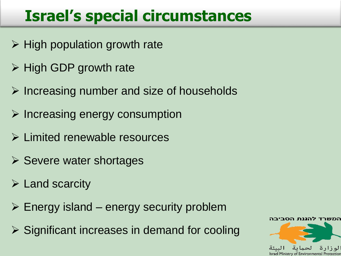## **Israel's special circumstances**

- $\triangleright$  High population growth rate
- $\triangleright$  High GDP growth rate
- $\triangleright$  Increasing number and size of households
- $\triangleright$  Increasing energy consumption
- Limited renewable resources
- $\triangleright$  Severe water shortages
- $\triangleright$  Land scarcity
- $\triangleright$  Energy island energy security problem
- $\triangleright$  Significant increases in demand for cooling

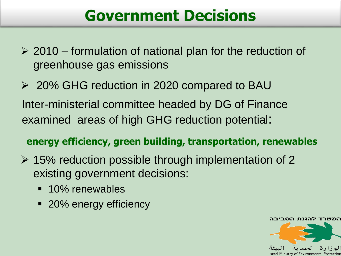#### **Government Decisions**

 $\geq$  2010 – formulation of national plan for the reduction of greenhouse gas emissions

 20% GHG reduction in 2020 compared to BAU Inter-ministerial committee headed by DG of Finance examined areas of high GHG reduction potential:

#### **energy efficiency, green building, transportation, renewables**

- $\geq$  15% reduction possible through implementation of 2 existing government decisions:
	- **10% renewables**
	- 20% energy efficiency

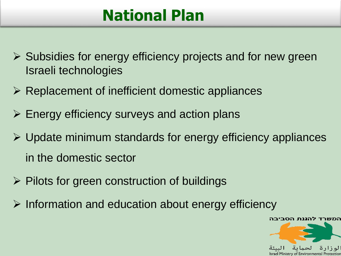#### **National Plan**

- $\triangleright$  Subsidies for energy efficiency projects and for new green Israeli technologies
- $\triangleright$  Replacement of inefficient domestic appliances
- $\triangleright$  Energy efficiency surveys and action plans
- $\triangleright$  Update minimum standards for energy efficiency appliances in the domestic sector
- $\triangleright$  Pilots for green construction of buildings
- $\triangleright$  Information and education about energy efficiency

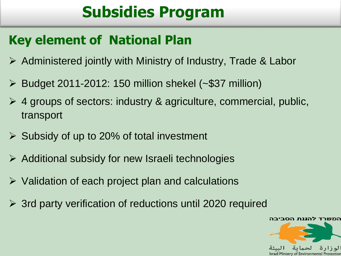## **Subsidies Program**

#### **Key element of National Plan**

- $\triangleright$  Administered jointly with Ministry of Industry, Trade & Labor
- $\triangleright$  Budget 2011-2012: 150 million shekel (~\$37 million)
- 4 groups of sectors: industry & agriculture, commercial, public, transport
- $\triangleright$  Subsidy of up to 20% of total investment
- $\triangleright$  Additional subsidy for new Israeli technologies
- $\triangleright$  Validation of each project plan and calculations
- 3rd party verification of reductions until 2020 required

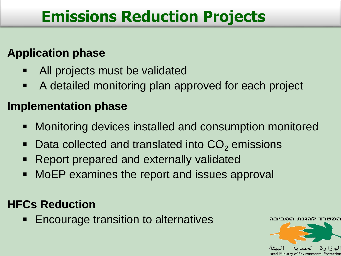### **Emissions Reduction Projects**

#### **Application phase**

- All projects must be validated
- A detailed monitoring plan approved for each project

#### **Implementation phase**

- Monitoring devices installed and consumption monitored
- Data collected and translated into  $CO<sub>2</sub>$  emissions
- Report prepared and externally validated
- MoEP examines the report and issues approval

#### **HFCs Reduction**

**Encourage transition to alternatives** 

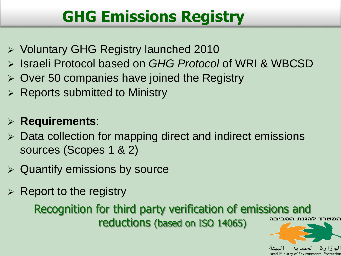### **GHG Emissions Registry**

- Voluntary GHG Registry launched 2010
- Israeli Protocol based on *GHG Protocol* of WRI & WBCSD
- $\geq$  Over 50 companies have joined the Registry
- $\triangleright$  Reports submitted to Ministry

#### **Requirements**:

- Data collection for mapping direct and indirect emissions sources (Scopes 1 & 2)
- $\triangleright$  Quantify emissions by source
- $\triangleright$  Report to the registry

Recognition for third party verification of emissions and המשרד להגנת הסביבה reductions (based on ISO 14065)



Israel Ministry of Environmental Protectio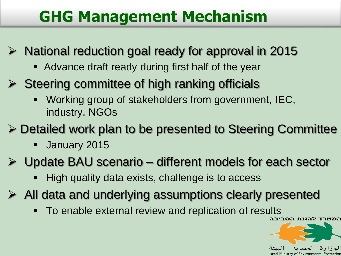### **GHG Management Mechanism**

- National reduction goal ready for approval in 2015
	- Advance draft ready during first half of the year
- $\triangleright$  Steering committee of high ranking officials
	- Working group of stakeholders from government, IEC, industry, NGOs
- Detailed work plan to be presented to Steering Committee
	- **January 2015**
- Update BAU scenario different models for each sector
	- High quality data exists, challenge is to access
- $\triangleright$  All data and underlying assumptions clearly presented
	- To enable external review and replication of results